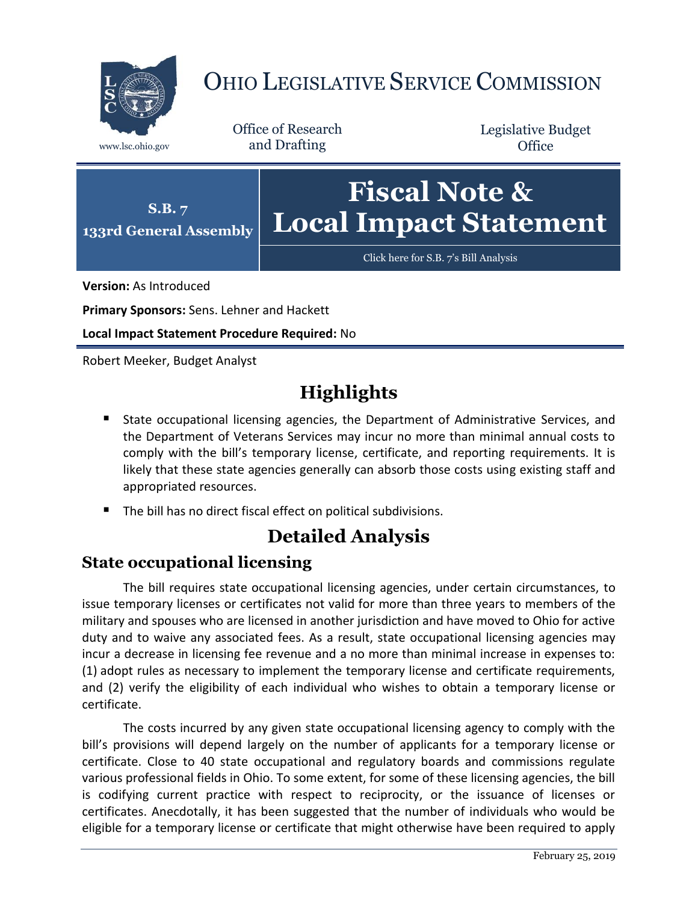

# OHIO LEGISLATIVE SERVICE COMMISSION

Office of Research www.lsc.ohio.gov and Drafting

Legislative Budget **Office** 



**Version:** As Introduced

**Primary Sponsors:** Sens. Lehner and Hackett

**Local Impact Statement Procedure Required:** No

Robert Meeker, Budget Analyst

## **Highlights**

- State occupational licensing agencies, the Department of Administrative Services, and the Department of Veterans Services may incur no more than minimal annual costs to comply with the bill's temporary license, certificate, and reporting requirements. It is likely that these state agencies generally can absorb those costs using existing staff and appropriated resources.
- The bill has no direct fiscal effect on political subdivisions.

## **Detailed Analysis**

#### **State occupational licensing**

The bill requires state occupational licensing agencies, under certain circumstances, to issue temporary licenses or certificates not valid for more than three years to members of the military and spouses who are licensed in another jurisdiction and have moved to Ohio for active duty and to waive any associated fees. As a result, state occupational licensing agencies may incur a decrease in licensing fee revenue and a no more than minimal increase in expenses to: (1) adopt rules as necessary to implement the temporary license and certificate requirements, and (2) verify the eligibility of each individual who wishes to obtain a temporary license or certificate.

The costs incurred by any given state occupational licensing agency to comply with the bill's provisions will depend largely on the number of applicants for a temporary license or certificate. Close to 40 state occupational and regulatory boards and commissions regulate various professional fields in Ohio. To some extent, for some of these licensing agencies, the bill is codifying current practice with respect to reciprocity, or the issuance of licenses or certificates. Anecdotally, it has been suggested that the number of individuals who would be eligible for a temporary license or certificate that might otherwise have been required to apply